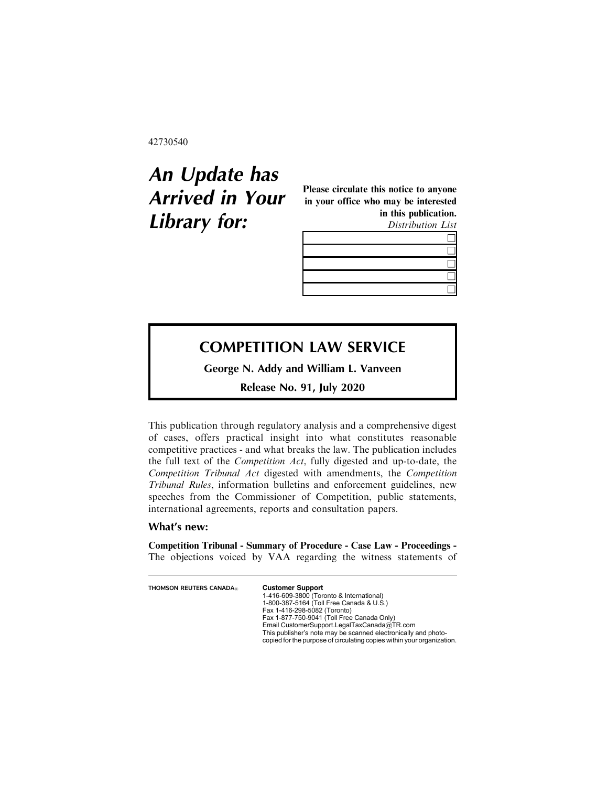42730540

## **An Update has Arrived in Your Library for:**

Please circulate this notice to anyone in your office who may be interested in this publication.

Distribution List

 $\Box$ 

## $\Box$ &  $\Box$  $\Box$

## **COMPETITION LAW SERVICE**

**George N. Addy and William L. Vanveen**

**Release No. 91, July 2020**

This publication through regulatory analysis and a comprehensive digest of cases, offers practical insight into what constitutes reasonable competitive practices - and what breaks the law. The publication includes the full text of the Competition Act, fully digested and up-to-date, the Competition Tribunal Act digested with amendments, the Competition Tribunal Rules, information bulletins and enforcement guidelines, new speeches from the Commissioner of Competition, public statements, international agreements, reports and consultation papers.

## **What's new:**

Competition Tribunal - Summary of Procedure - Case Law - Proceedings - The objections voiced by VAA regarding the witness statements of

| <b>THOMSON REUTERS CANADA</b> R | <b>Customer Support</b><br>1-416-609-3800 (Toronto & International)<br>1-800-387-5164 (Toll Free Canada & U.S.)<br>Fax 1-416-298-5082 (Toronto)<br>Fax 1-877-750-9041 (Toll Free Canada Only) |
|---------------------------------|-----------------------------------------------------------------------------------------------------------------------------------------------------------------------------------------------|
|                                 | Email CustomerSupport.LegalTaxCanada@TR.com<br>This publisher's note may be scanned electronically and photo-<br>copied for the purpose of circulating copies within your organization.       |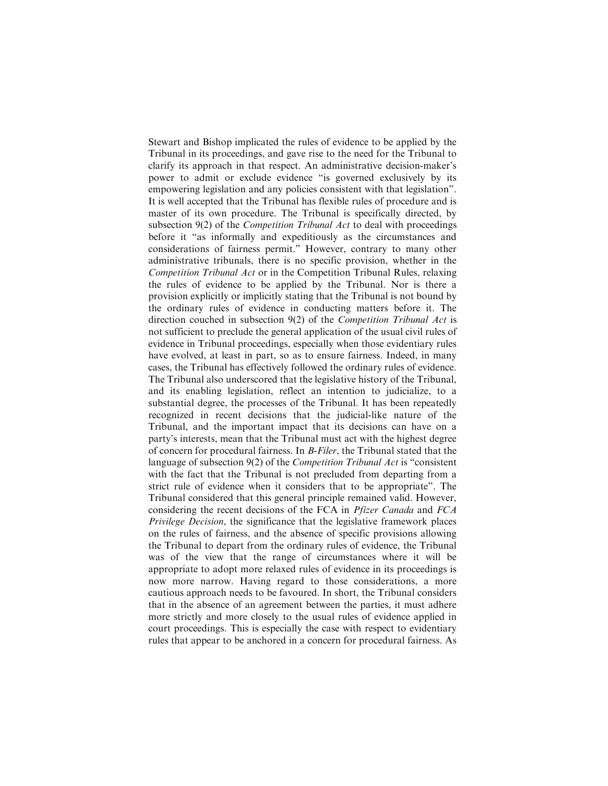Stewart and Bishop implicated the rules of evidence to be applied by the Tribunal in its proceedings, and gave rise to the need for the Tribunal to clarify its approach in that respect. An administrative decision-maker's power to admit or exclude evidence "is governed exclusively by its empowering legislation and any policies consistent with that legislation". It is well accepted that the Tribunal has flexible rules of procedure and is master of its own procedure. The Tribunal is specifically directed, by subsection 9(2) of the *Competition Tribunal Act* to deal with proceedings before it "as informally and expeditiously as the circumstances and considerations of fairness permit." However, contrary to many other administrative tribunals, there is no specific provision, whether in the Competition Tribunal Act or in the Competition Tribunal Rules, relaxing the rules of evidence to be applied by the Tribunal. Nor is there a provision explicitly or implicitly stating that the Tribunal is not bound by the ordinary rules of evidence in conducting matters before it. The direction couched in subsection 9(2) of the Competition Tribunal Act is not sufficient to preclude the general application of the usual civil rules of evidence in Tribunal proceedings, especially when those evidentiary rules have evolved, at least in part, so as to ensure fairness. Indeed, in many cases, the Tribunal has effectively followed the ordinary rules of evidence. The Tribunal also underscored that the legislative history of the Tribunal, and its enabling legislation, reflect an intention to judicialize, to a substantial degree, the processes of the Tribunal. It has been repeatedly recognized in recent decisions that the judicial-like nature of the Tribunal, and the important impact that its decisions can have on a party's interests, mean that the Tribunal must act with the highest degree of concern for procedural fairness. In B-Filer, the Tribunal stated that the language of subsection 9(2) of the *Competition Tribunal Act* is "consistent with the fact that the Tribunal is not precluded from departing from a strict rule of evidence when it considers that to be appropriate". The Tribunal considered that this general principle remained valid. However, considering the recent decisions of the FCA in Pfizer Canada and FCA Privilege Decision, the significance that the legislative framework places on the rules of fairness, and the absence of specific provisions allowing the Tribunal to depart from the ordinary rules of evidence, the Tribunal was of the view that the range of circumstances where it will be appropriate to adopt more relaxed rules of evidence in its proceedings is now more narrow. Having regard to those considerations, a more cautious approach needs to be favoured. In short, the Tribunal considers that in the absence of an agreement between the parties, it must adhere more strictly and more closely to the usual rules of evidence applied in court proceedings. This is especially the case with respect to evidentiary rules that appear to be anchored in a concern for procedural fairness. As